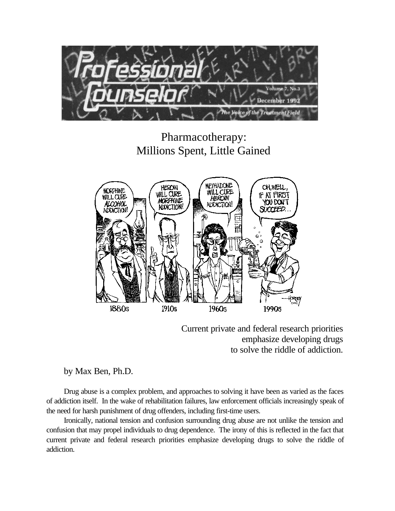

# Pharmacotherapy: Millions Spent, Little Gained



Current private and federal research priorities emphasize developing drugs to solve the riddle of addiction.

# by Max Ben, Ph.D.

Drug abuse is a complex problem, and approaches to solving it have been as varied as the faces of addiction itself. In the wake of rehabilitation failures, law enforcement officials increasingly speak of the need for harsh punishment of drug offenders, including first-time users.

Ironically, national tension and confusion surrounding drug abuse are not unlike the tension and confusion that may propel individuals to drug dependence. The irony of this is reflected in the fact that current private and federal research priorities emphasize developing drugs to solve the riddle of addiction.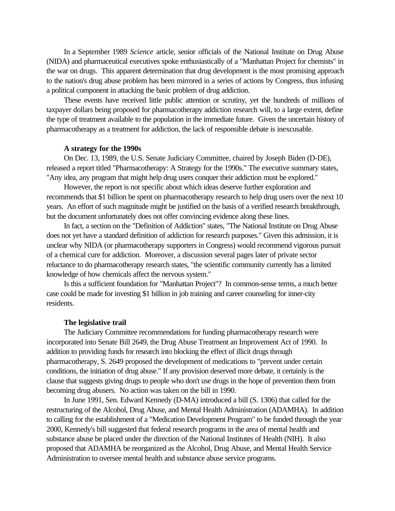In a September 1989 *Science* article, senior officials of the National Institute on Drug Abuse (NIDA) and pharmaceutical executives spoke enthusiastically of a "Manhattan Project for chemists" in the war on drugs. This apparent determination that drug development is the most promising approach to the nation's drug abuse problem has been mirrored in a series of actions by Congress, thus infusing a political component in attacking the basic problem of drug addiction.

These events have received little public attention or scrutiny, yet the hundreds of millions of taxpayer dollars being proposed for pharmacotherapy addiction research will, to a large extent, define the type of treatment available to the population in the immediate future. Given the uncertain history of pharmacotherapy as a treatment for addiction, the lack of responsible debate is inexcusable.

## **A strategy for the 1990s**

On Dec. 13, 1989, the U.S. Senate Judiciary Committee, chaired by Joseph Biden (D-DE), released a report titled "Pharmacotherapy: A Strategy for the 1990s." The executive summary states, "Any idea, any program that might help drug users conquer their addiction must be explored."

However, the report is not specific about which ideas deserve further exploration and recommends that \$1 billion be spent on pharmacotherapy research to help drug users over the next 10 years. An effort of such magnitude might be justified on the basis of a verified research breakthrough, but the document unfortunately does not offer convincing evidence along these lines.

In fact, a section on the "Definition of Addiction" states, "The National Institute on Drug Abuse does not yet have a standard definition of addiction for research purposes." Given this admission, it is unclear why NIDA (or pharmacotherapy supporters in Congress) would recommend vigorous pursuit of a chemical cure for addiction. Moreover, a discussion several pages later of private sector reluctance to do pharmacotherapy research states, "the scientific community currently has a limited knowledge of how chemicals affect the nervous system."

Is this a sufficient foundation for "Manhattan Project"? In common-sense terms, a much better case could be made for investing \$1 billion in job training and career counseling for inner-city residents.

#### **The legislative trail**

The Judiciary Committee recommendations for funding pharmacotherapy research were incorporated into Senate Bill 2649, the Drug Abuse Treatment an Improvement Act of 1990. In addition to providing funds for research into blocking the effect of illicit drugs through pharmacotherapy, S. 2649 proposed the development of medications to "prevent under certain conditions, the initiation of drug abuse." If any provision deserved more debate, it certainly is the clause that suggests giving drugs to people who don't use drugs in the hope of prevention them from becoming drug abusers. No action was taken on the bill in 1990.

In June 1991, Sen. Edward Kennedy (D-MA) introduced a bill (S. 1306) that called for the restructuring of the Alcohol, Drug Abuse, and Mental Health Administration (ADAMHA). In addition to calling for the establishment of a "Medication Development Program" to be funded through the year 2000, Kennedy's bill suggested that federal research programs in the area of mental health and substance abuse be placed under the direction of the National Institutes of Health (NIH). It also proposed that ADAMHA be reorganized as the Alcohol, Drug Abuse, and Mental Health Service Administration to oversee mental health and substance abuse service programs.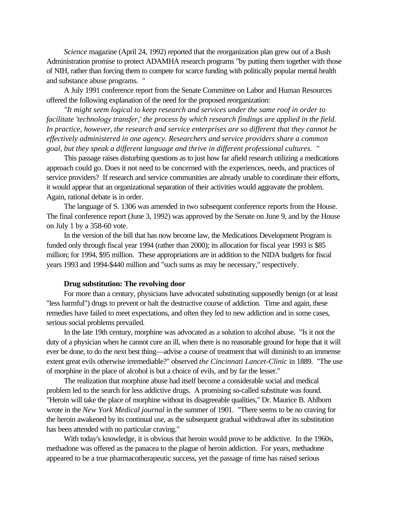*Science* magazine (April 24, 1992) reported that the reorganization plan grew out of a Bush Administration promise to protect ADAMHA research programs "by putting them together with those of NIH, rather than forcing them to compete for scarce funding with politically popular mental health and substance abuse programs. "

A July 1991 conference report from the Senate Committee on Labor and Human Resources offered the following explanation of the need for the proposed reorganization:

*"It might seem logical to keep research and services under the same roof in order to facilitate 'technology transfer,' the process by which research findings are applied in the field. In practice, however, the research and service enterprises are so different that they cannot be effectively administered in one agency. Researchers and service providers share a common goal, but they speak a different language and thrive in different professional cultures. "*

This passage raises disturbing questions as to just how far afield research utilizing a medications approach could go. Does it not need to be concerned with the experiences, needs, and practices of service providers? If research and service communities are already unable to coordinate their efforts, it would appear that an organizational separation of their activities would aggravate the problem. Again, rational debate is in order.

The language of S. 1306 was amended in two subsequent conference reports from the House. The final conference report (June 3, 1992) was approved by the Senate on June 9, and by the House on July 1 by a 358-60 vote.

In the version of the bill that has now become law, the Medications Development Program is funded only through fiscal year 1994 (rather than 2000); its allocation for fiscal year 1993 is \$85 million; for 1994, \$95 million. These appropriations are in addition to the NIDA budgets for fiscal years 1993 and 1994-\$440 million and "such sums as may be necessary," respectively.

### **Drug substitution: The revolving door**

For more than a century, physicians have advocated substituting supposedly benign (or at least "less harmful") drugs to prevent or halt the destructive course of addiction. Time and again, these remedies have failed to meet expectations, and often they led to new addiction and in some cases, serious social problems prevailed.

In the late 19th century, morphine was advocated as a solution to alcohol abuse. "Is it not the duty of a physician when he cannot cure an ill, when there is no reasonable ground for hope that it will ever be done, to do the next best thing—advise a course of treatment that will diminish to an immense extent great evils otherwise irremediable?" observed *the Cincinnati Lancet-Clinic* in 1889. "The use of morphine in the place of alcohol is but a choice of evils, and by far the lesser."

The realization that morphine abuse had itself become a considerable social and medical problem led to the search for less addictive drugs. A promising so-called substitute was found. "Heroin will take the place of morphine without its disagreeable qualities," Dr. Maurice B. Ahlborn wrote in the *New York Medical journal* in the summer of 1901. "There seems to be no craving for the heroin awakened by its continual use, as the subsequent gradual withdrawal after its substitution has been attended with no particular craving."

With today's knowledge, it is obvious that heroin would prove to be addictive. In the 1960s, methadone was offered as the panacea to the plague of heroin addiction. For years, methadone appeared to be a true pharmacotherapeutic success, yet the passage of time has raised serious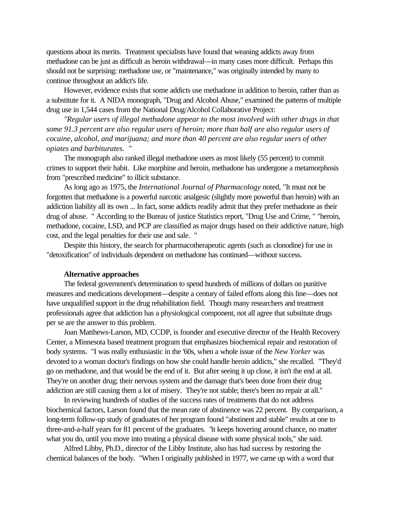questions about its merits. Treatment specialists have found that weaning addicts away from methadone can be just as difficult as heroin withdrawal—in many cases more difficult. Perhaps this should not be surprising: methadone use, or "maintenance," was originally intended by many to continue throughout an addict's life.

However, evidence exists that some addicts use methadone in addition to heroin, rather than as a substitute for it. A NIDA monograph, "Drug and Alcohol Abuse," examined the patterns of multiple drug use in 1,544 cases from the National Drug/Alcohol Collaborative Project:

*"Regular users of illegal methadone appear to the most involved with other drugs in that some 91.3 percent are also regular users of heroin; more than half are also regular users of cocaine, alcohol, and marijuana; and more than 40 percent are also regular users of other opiates and barbiturates. "*

The monograph also ranked illegal methadone users as most likely (55 percent) to commit crimes to support their habit. Like morphine and heroin, methadone has undergone a metamorphosis from "prescribed medicine" to illicit substance.

As long ago as 1975, the *International Journal of Pharmacology* noted*,* "It must not be forgotten that methadone is a powerful narcotic analgesic (slightly more powerful than heroin) with an addiction liability all its own ... In fact, some addicts readily admit that they prefer methadone as their drug of abuse. " According to the Bureau of justice Statistics report, "Drug Use and Crime, " "heroin, methadone, cocaine, LSD, and PCP are classified as major drugs based on their addictive nature, high cost, and the legal penalties for their use and sale. "

Despite this history, the search for pharmacotherapeutic agents (such as clonodine) for use in "detoxification" of individuals dependent on methadone has continued—without success.

#### **Alternative approaches**

The federal government's determination to spend hundreds of millions of dollars on punitive measures and medications development—despite a century of failed efforts along this line—does not have unqualified support in the drug rehabilitation field. Though many researchers and treatment professionals agree that addiction has a physiological component, not all agree that substitute drugs per se are the answer to this problem.

Joan Matthews-Larson, MD, CCDP, is founder and executive director of the Health Recovery Center, a Minnesota based treatment program that emphasizes biochemical repair and restoration of body systems. "I was really enthusiastic in the '60s, when a whole issue of the *New Yorker* was devoted to a woman doctor's findings on how she could handle heroin addicts," she recalled. "They'd go on methadone, and that would be the end of it. But after seeing it up close, it isn't the end at all. They're on another drug; their nervous system and the damage that's been done from their drug addiction are still causing them a lot of misery. They're not stable; there's been no repair at all."

In reviewing hundreds of studies of the success rates of treatments that do not address biochemical factors, Larson found that the mean rate of abstinence was 22 percent. By comparison, a long-term follow-up study of graduates of her program found "abstinent and stable" results at one to three-and-a-half years for 81 percent of the graduates. "it keeps hovering around chance, no matter what you do, until you move into treating a physical disease with some physical tools," she said.

Alfred Libby, Ph.D., director of the Libby Institute, also has had success by restoring the chemical balances of the body. "When I originally published in 1977, we came up with a word that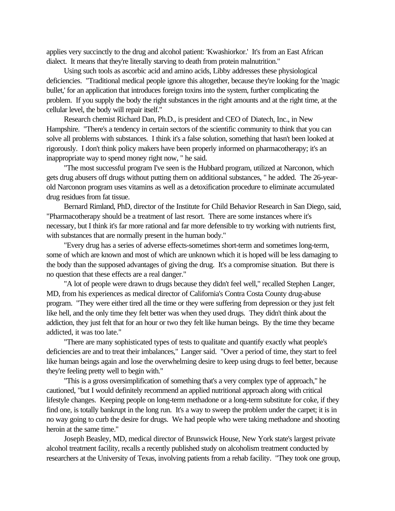applies very succinctly to the drug and alcohol patient: 'Kwashiorkor.' It's from an East African dialect. It means that they're literally starving to death from protein malnutrition."

Using such tools as ascorbic acid and amino acids, Libby addresses these physiological deficiencies. "Traditional medical people ignore this altogether, because they're looking for the 'magic bullet,' for an application that introduces foreign toxins into the system, further complicating the problem. If you supply the body the right substances in the right amounts and at the right time, at the cellular level, the body will repair itself."

Research chemist Richard Dan, Ph.D., is president and CEO of Diatech, Inc., in New Hampshire. "There's a tendency in certain sectors of the scientific community to think that you can solve all problems with substances. I think it's a false solution, something that hasn't been looked at rigorously. I don't think policy makers have been properly informed on pharmacotherapy; it's an inappropriate way to spend money right now, " he said.

"The most successful program I've seen is the Hubbard program, utilized at Narconon, which gets drug abusers off drugs without putting them on additional substances, " he added. The 26-yearold Narconon program uses vitamins as well as a detoxification procedure to eliminate accumulated drug residues from fat tissue.

Bernard Rimland, PhD, director of the Institute for Child Behavior Research in San Diego, said, "Pharmacotherapy should be a treatment of last resort. There are some instances where it's necessary, but I think it's far more rational and far more defensible to try working with nutrients first, with substances that are normally present in the human body."

"Every drug has a series of adverse effects-sometimes short-term and sometimes long-term, some of which are known and most of which are unknown which it is hoped will be less damaging to the body than the supposed advantages of giving the drug. It's a compromise situation. But there is no question that these effects are a real danger."

"A lot of people were drawn to drugs because they didn't feel well," recalled Stephen Langer, MD, from his experiences as medical director of California's Contra Costa County drug-abuse program. "They were either tired all the time or they were suffering from depression or they just felt like hell, and the only time they felt better was when they used drugs. They didn't think about the addiction, they just felt that for an hour or two they felt like human beings. By the time they became addicted, it was too late."

"There are many sophisticated types of tests to qualitate and quantify exactly what people's deficiencies are and to treat their imbalances," Langer said. "Over a period of time, they start to feel like human beings again and lose the overwhelming desire to keep using drugs to feel better, because they're feeling pretty well to begin with."

"This is a gross oversimplification of something that's a very complex type of approach," he cautioned, "but I would definitely recommend an applied nutritional approach along with critical lifestyle changes. Keeping people on long-term methadone or a long-term substitute for coke, if they find one, is totally bankrupt in the long run. It's a way to sweep the problem under the carpet; it is in no way going to curb the desire for drugs. We had people who were taking methadone and shooting heroin at the same time."

Joseph Beasley, MD, medical director of Brunswick House, New York state's largest private alcohol treatment facility, recalls a recently published study on alcoholism treatment conducted by researchers at the University of Texas, involving patients from a rehab facility. "They took one group,